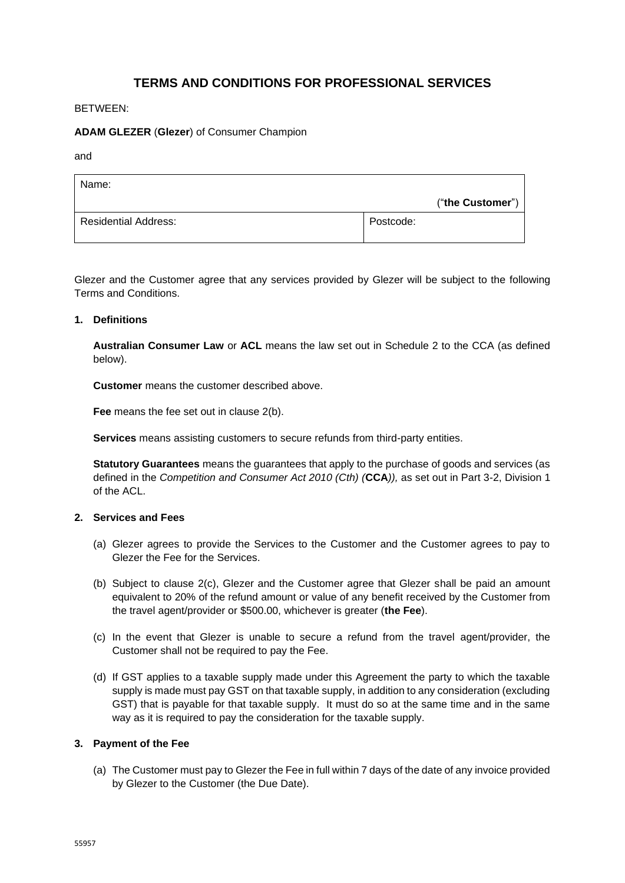# **TERMS AND CONDITIONS FOR PROFESSIONAL SERVICES**

BETWEEN:

**ADAM GLEZER** (**Glezer**) of Consumer Champion

and

| Name:                       |                  |
|-----------------------------|------------------|
|                             | ("the Customer") |
| <b>Residential Address:</b> | Postcode:        |

Glezer and the Customer agree that any services provided by Glezer will be subject to the following Terms and Conditions.

#### **1. Definitions**

**Australian Consumer Law** or **ACL** means the law set out in Schedule 2 to the CCA (as defined below).

**Customer** means the customer described above.

**Fee** means the fee set out in clause 2(b).

**Services** means assisting customers to secure refunds from third-party entities.

**Statutory Guarantees** means the guarantees that apply to the purchase of goods and services (as defined in the *Competition and Consumer Act 2010 (Cth) (***CCA***)),* as set out in Part 3-2, Division 1 of the ACL.

## **2. Services and Fees**

- (a) Glezer agrees to provide the Services to the Customer and the Customer agrees to pay to Glezer the Fee for the Services.
- (b) Subject to clause 2(c), Glezer and the Customer agree that Glezer shall be paid an amount equivalent to 20% of the refund amount or value of any benefit received by the Customer from the travel agent/provider or \$500.00, whichever is greater (**the Fee**).
- (c) In the event that Glezer is unable to secure a refund from the travel agent/provider, the Customer shall not be required to pay the Fee.
- (d) If GST applies to a taxable supply made under this Agreement the party to which the taxable supply is made must pay GST on that taxable supply, in addition to any consideration (excluding GST) that is payable for that taxable supply. It must do so at the same time and in the same way as it is required to pay the consideration for the taxable supply.

### **3. Payment of the Fee**

(a) The Customer must pay to Glezer the Fee in full within 7 days of the date of any invoice provided by Glezer to the Customer (the Due Date).